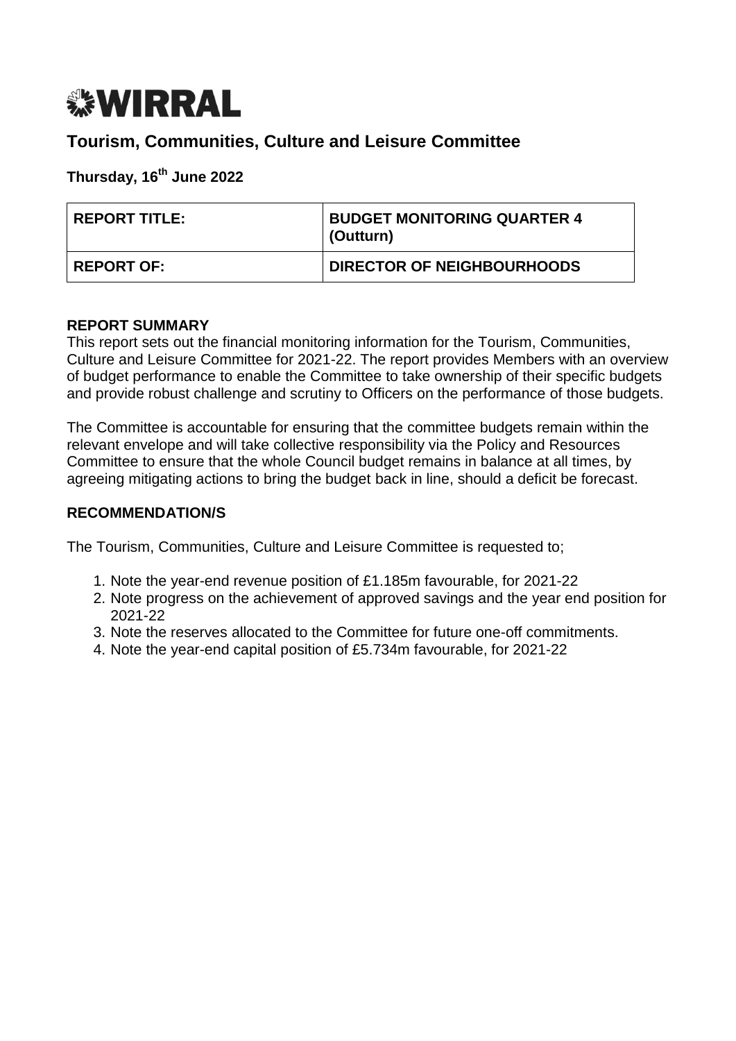# *<b><i>S***WIRRAL**

# **Tourism, Communities, Culture and Leisure Committee**

# **Thursday, 16 th June 2022**

| <b>REPORT TITLE:</b> | <b>BUDGET MONITORING QUARTER 4</b><br>(Outturn) |
|----------------------|-------------------------------------------------|
| <b>REPORT OF:</b>    | <b>DIRECTOR OF NEIGHBOURHOODS</b>               |

# **REPORT SUMMARY**

This report sets out the financial monitoring information for the Tourism, Communities, Culture and Leisure Committee for 2021-22. The report provides Members with an overview of budget performance to enable the Committee to take ownership of their specific budgets and provide robust challenge and scrutiny to Officers on the performance of those budgets.

The Committee is accountable for ensuring that the committee budgets remain within the relevant envelope and will take collective responsibility via the Policy and Resources Committee to ensure that the whole Council budget remains in balance at all times, by agreeing mitigating actions to bring the budget back in line, should a deficit be forecast.

# **RECOMMENDATION/S**

The Tourism, Communities, Culture and Leisure Committee is requested to;

- 1. Note the year-end revenue position of £1.185m favourable, for 2021-22
- 2. Note progress on the achievement of approved savings and the year end position for 2021-22
- 3. Note the reserves allocated to the Committee for future one-off commitments.
- 4. Note the year-end capital position of £5.734m favourable, for 2021-22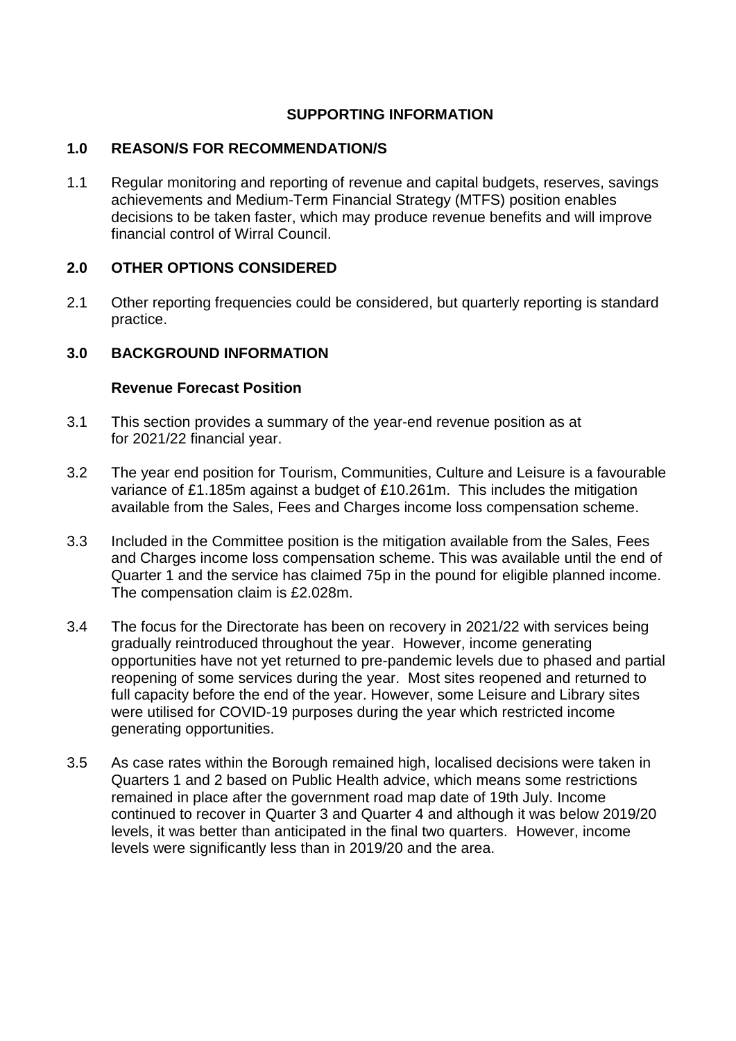### **SUPPORTING INFORMATION**

#### **1.0 REASON/S FOR RECOMMENDATION/S**

1.1 Regular monitoring and reporting of revenue and capital budgets, reserves, savings achievements and Medium-Term Financial Strategy (MTFS) position enables decisions to be taken faster, which may produce revenue benefits and will improve financial control of Wirral Council.

#### **2.0 OTHER OPTIONS CONSIDERED**

2.1 Other reporting frequencies could be considered, but quarterly reporting is standard practice.

#### **3.0 BACKGROUND INFORMATION**

#### **Revenue Forecast Position**

- 3.1 This section provides a summary of the year-end revenue position as at for 2021/22 financial year.
- 3.2 The year end position for Tourism, Communities, Culture and Leisure is a favourable variance of £1.185m against a budget of £10.261m. This includes the mitigation available from the Sales, Fees and Charges income loss compensation scheme.
- 3.3 Included in the Committee position is the mitigation available from the Sales, Fees and Charges income loss compensation scheme. This was available until the end of Quarter 1 and the service has claimed 75p in the pound for eligible planned income. The compensation claim is £2.028m.
- 3.4 The focus for the Directorate has been on recovery in 2021/22 with services being gradually reintroduced throughout the year. However, income generating opportunities have not yet returned to pre-pandemic levels due to phased and partial reopening of some services during the year. Most sites reopened and returned to full capacity before the end of the year. However, some Leisure and Library sites were utilised for COVID-19 purposes during the year which restricted income generating opportunities.
- 3.5 As case rates within the Borough remained high, localised decisions were taken in Quarters 1 and 2 based on Public Health advice, which means some restrictions remained in place after the government road map date of 19th July. Income continued to recover in Quarter 3 and Quarter 4 and although it was below 2019/20 levels, it was better than anticipated in the final two quarters. However, income levels were significantly less than in 2019/20 and the area.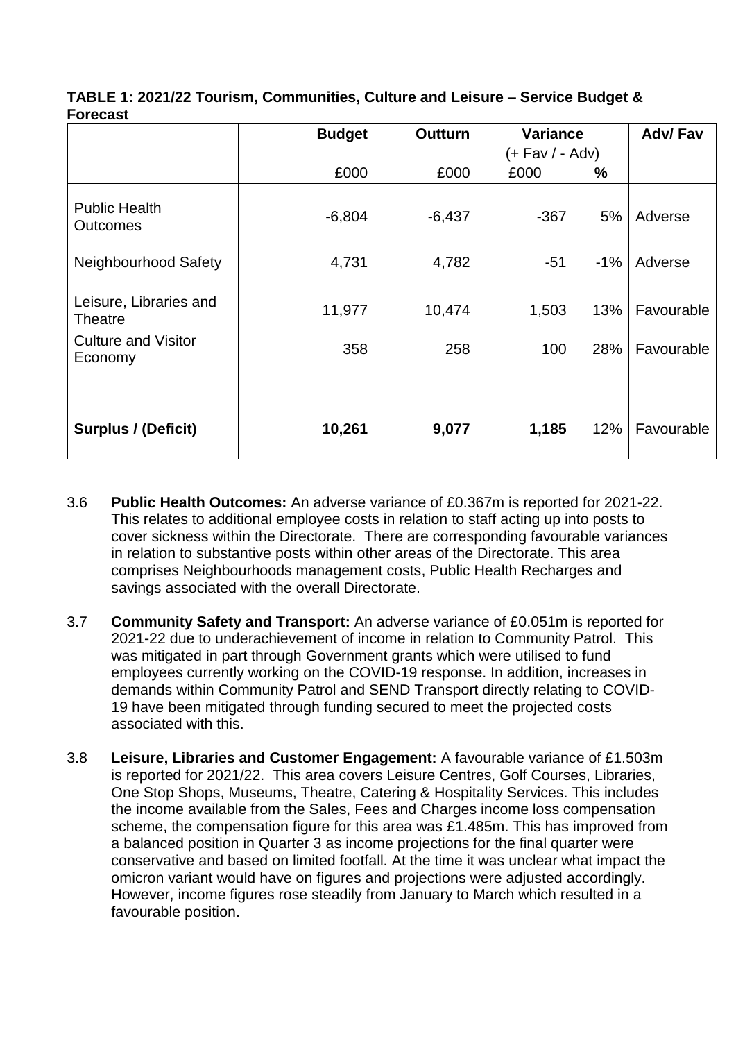|                                          | <b>Budget</b> | <b>Outturn</b> |                 | <b>Variance</b> |            |  |
|------------------------------------------|---------------|----------------|-----------------|-----------------|------------|--|
|                                          |               |                | (+ Fav / - Adv) |                 |            |  |
|                                          | £000          | £000           | £000            | ℅               |            |  |
| <b>Public Health</b><br><b>Outcomes</b>  | $-6,804$      | $-6,437$       | $-367$          | 5%              | Adverse    |  |
| Neighbourhood Safety                     | 4,731         | 4,782          | $-51$           | $-1%$           | Adverse    |  |
| Leisure, Libraries and<br><b>Theatre</b> | 11,977        | 10,474         | 1,503           | 13%             | Favourable |  |
| <b>Culture and Visitor</b><br>Economy    | 358           | 258            | 100             | 28%             | Favourable |  |
| <b>Surplus / (Deficit)</b>               | 10,261        | 9,077          | 1,185           | 12%             | Favourable |  |

| TABLE 1: 2021/22 Tourism, Communities, Culture and Leisure – Service Budget & |  |  |
|-------------------------------------------------------------------------------|--|--|
| <b>Forecast</b>                                                               |  |  |

- 3.6 **Public Health Outcomes:** An adverse variance of £0.367m is reported for 2021-22. This relates to additional employee costs in relation to staff acting up into posts to cover sickness within the Directorate. There are corresponding favourable variances in relation to substantive posts within other areas of the Directorate. This area comprises Neighbourhoods management costs, Public Health Recharges and savings associated with the overall Directorate.
- 3.7 **Community Safety and Transport:** An adverse variance of £0.051m is reported for 2021-22 due to underachievement of income in relation to Community Patrol. This was mitigated in part through Government grants which were utilised to fund employees currently working on the COVID-19 response. In addition, increases in demands within Community Patrol and SEND Transport directly relating to COVID-19 have been mitigated through funding secured to meet the projected costs associated with this.
- 3.8 **Leisure, Libraries and Customer Engagement:** A favourable variance of £1.503m is reported for 2021/22. This area covers Leisure Centres, Golf Courses, Libraries, One Stop Shops, Museums, Theatre, Catering & Hospitality Services. This includes the income available from the Sales, Fees and Charges income loss compensation scheme, the compensation figure for this area was £1.485m. This has improved from a balanced position in Quarter 3 as income projections for the final quarter were conservative and based on limited footfall. At the time it was unclear what impact the omicron variant would have on figures and projections were adjusted accordingly. However, income figures rose steadily from January to March which resulted in a favourable position.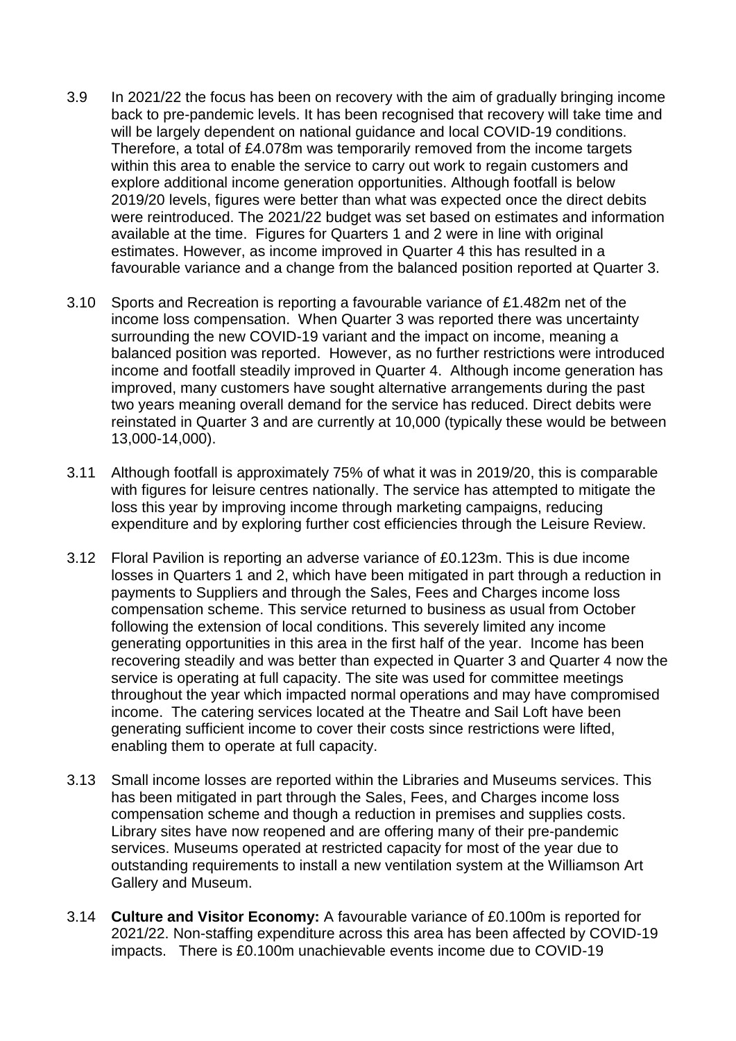- 3.9 In 2021/22 the focus has been on recovery with the aim of gradually bringing income back to pre-pandemic levels. It has been recognised that recovery will take time and will be largely dependent on national guidance and local COVID-19 conditions. Therefore, a total of £4.078m was temporarily removed from the income targets within this area to enable the service to carry out work to regain customers and explore additional income generation opportunities. Although footfall is below 2019/20 levels, figures were better than what was expected once the direct debits were reintroduced. The 2021/22 budget was set based on estimates and information available at the time. Figures for Quarters 1 and 2 were in line with original estimates. However, as income improved in Quarter 4 this has resulted in a favourable variance and a change from the balanced position reported at Quarter 3.
- 3.10 Sports and Recreation is reporting a favourable variance of £1.482m net of the income loss compensation. When Quarter 3 was reported there was uncertainty surrounding the new COVID-19 variant and the impact on income, meaning a balanced position was reported. However, as no further restrictions were introduced income and footfall steadily improved in Quarter 4. Although income generation has improved, many customers have sought alternative arrangements during the past two years meaning overall demand for the service has reduced. Direct debits were reinstated in Quarter 3 and are currently at 10,000 (typically these would be between 13,000-14,000).
- 3.11 Although footfall is approximately 75% of what it was in 2019/20, this is comparable with figures for leisure centres nationally. The service has attempted to mitigate the loss this year by improving income through marketing campaigns, reducing expenditure and by exploring further cost efficiencies through the Leisure Review.
- 3.12 Floral Pavilion is reporting an adverse variance of £0.123m. This is due income losses in Quarters 1 and 2, which have been mitigated in part through a reduction in payments to Suppliers and through the Sales, Fees and Charges income loss compensation scheme. This service returned to business as usual from October following the extension of local conditions. This severely limited any income generating opportunities in this area in the first half of the year. Income has been recovering steadily and was better than expected in Quarter 3 and Quarter 4 now the service is operating at full capacity. The site was used for committee meetings throughout the year which impacted normal operations and may have compromised income. The catering services located at the Theatre and Sail Loft have been generating sufficient income to cover their costs since restrictions were lifted, enabling them to operate at full capacity.
- 3.13 Small income losses are reported within the Libraries and Museums services. This has been mitigated in part through the Sales, Fees, and Charges income loss compensation scheme and though a reduction in premises and supplies costs. Library sites have now reopened and are offering many of their pre-pandemic services. Museums operated at restricted capacity for most of the year due to outstanding requirements to install a new ventilation system at the Williamson Art Gallery and Museum.
- 3.14 **Culture and Visitor Economy:** A favourable variance of £0.100m is reported for 2021/22. Non-staffing expenditure across this area has been affected by COVID-19 impacts. There is £0.100m unachievable events income due to COVID-19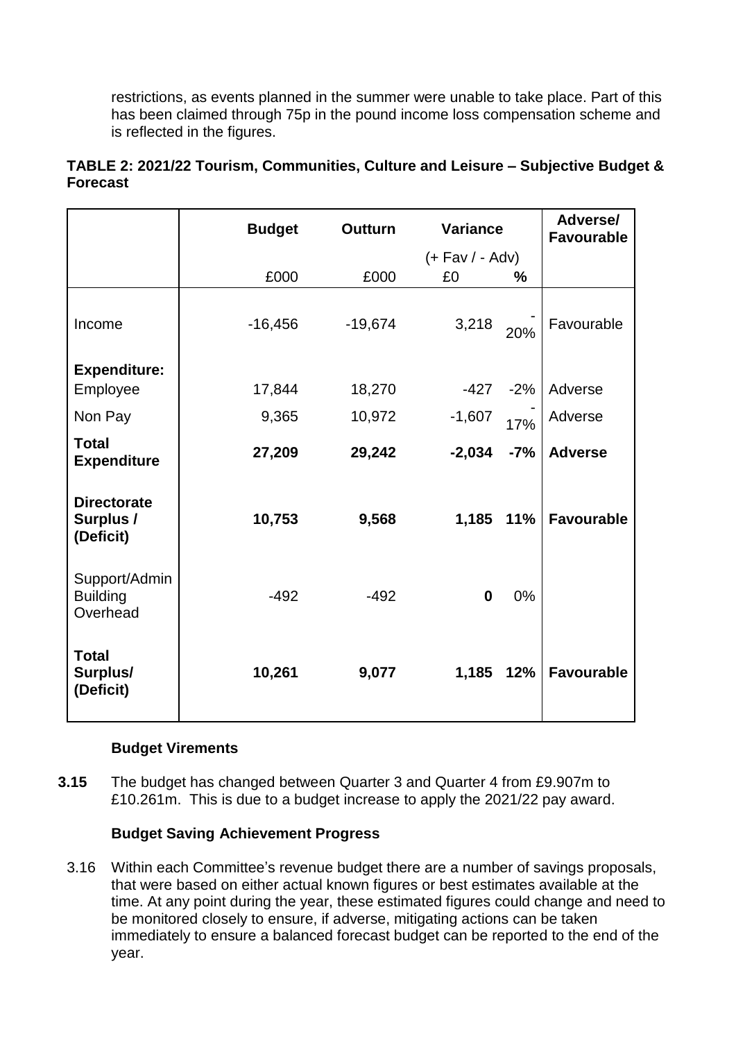restrictions, as events planned in the summer were unable to take place. Part of this has been claimed through 75p in the pound income loss compensation scheme and is reflected in the figures.

|                                              | <b>Budget</b> | <b>Outturn</b> | <b>Variance</b> |                     | Adverse/<br><b>Favourable</b> |
|----------------------------------------------|---------------|----------------|-----------------|---------------------|-------------------------------|
|                                              |               |                |                 | $(+$ Fav $/$ - Adv) |                               |
|                                              | £000          | £000           | £0              | $\frac{9}{6}$       |                               |
| Income                                       | $-16,456$     | $-19,674$      | 3,218           | 20%                 | Favourable                    |
| <b>Expenditure:</b>                          |               |                |                 |                     |                               |
| Employee                                     | 17,844        | 18,270         |                 | $-427 - 2%$         | Adverse                       |
| Non Pay                                      | 9,365         | 10,972         | $-1,607$        | 17%                 | Adverse                       |
| <b>Total</b><br><b>Expenditure</b>           | 27,209        | 29,242         | $-2,034$        | $-7%$               | <b>Adverse</b>                |
| <b>Directorate</b><br>Surplus /<br>(Deficit) | 10,753        | 9,568          | 1,185           | 11%                 | <b>Favourable</b>             |
| Support/Admin<br><b>Building</b><br>Overhead | $-492$        | $-492$         | $\mathbf 0$     | $0\%$               |                               |
| <b>Total</b><br>Surplus/<br>(Deficit)        | 10,261        | 9,077          | 1,185           | 12%                 | <b>Favourable</b>             |

# **TABLE 2: 2021/22 Tourism, Communities, Culture and Leisure – Subjective Budget & Forecast**

#### **Budget Virements**

**3.15** The budget has changed between Quarter 3 and Quarter 4 from £9.907m to £10.261m. This is due to a budget increase to apply the 2021/22 pay award.

#### **Budget Saving Achievement Progress**

3.16 Within each Committee's revenue budget there are a number of savings proposals, that were based on either actual known figures or best estimates available at the time. At any point during the year, these estimated figures could change and need to be monitored closely to ensure, if adverse, mitigating actions can be taken immediately to ensure a balanced forecast budget can be reported to the end of the year.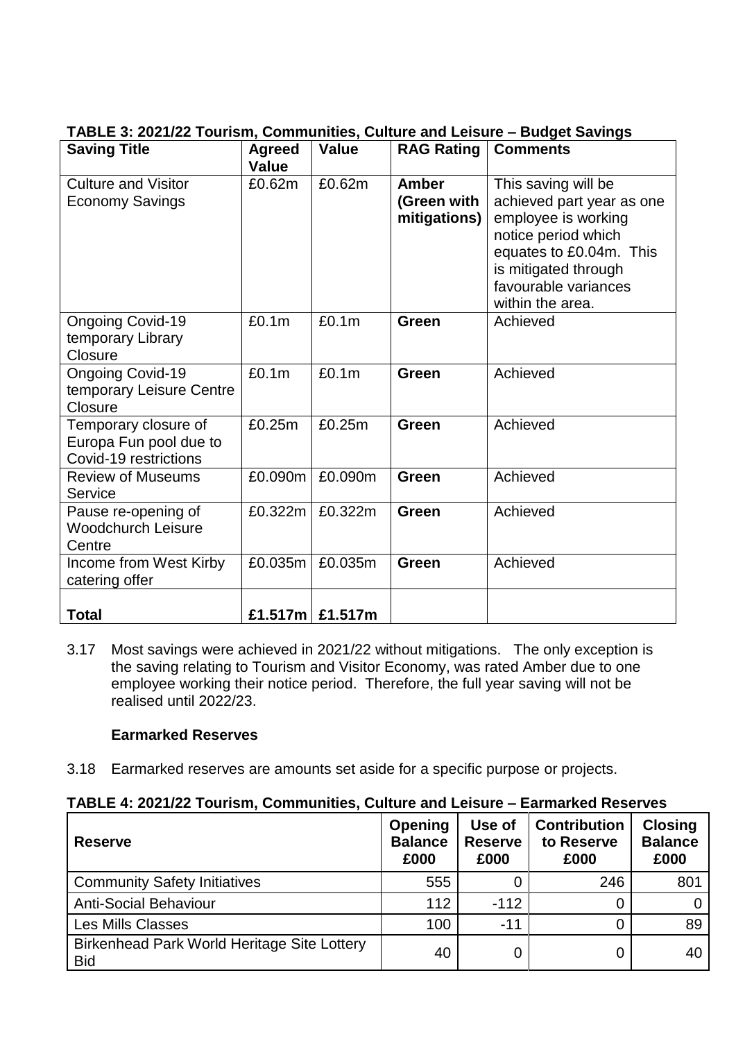# **TABLE 3: 2021/22 Tourism, Communities, Culture and Leisure – Budget Savings**

| <b>Saving Title</b>                                                     | <b>Agreed</b><br><b>Value</b> | <b>Value</b> | <b>RAG Rating</b>                    | <b>Comments</b>                                                                                                                                                                               |
|-------------------------------------------------------------------------|-------------------------------|--------------|--------------------------------------|-----------------------------------------------------------------------------------------------------------------------------------------------------------------------------------------------|
| <b>Culture and Visitor</b><br><b>Economy Savings</b>                    | £0.62m                        | £0.62m       | Amber<br>(Green with<br>mitigations) | This saving will be<br>achieved part year as one<br>employee is working<br>notice period which<br>equates to £0.04m. This<br>is mitigated through<br>favourable variances<br>within the area. |
| <b>Ongoing Covid-19</b><br>temporary Library<br>Closure                 | £0.1m                         | £0.1m        | Green                                | Achieved                                                                                                                                                                                      |
| <b>Ongoing Covid-19</b><br>temporary Leisure Centre<br>Closure          | £0.1m                         | £0.1m        | Green                                | Achieved                                                                                                                                                                                      |
| Temporary closure of<br>Europa Fun pool due to<br>Covid-19 restrictions | £0.25m                        | £0.25m       | <b>Green</b>                         | Achieved                                                                                                                                                                                      |
| <b>Review of Museums</b><br>Service                                     | £0.090m                       | £0.090m      | Green                                | Achieved                                                                                                                                                                                      |
| Pause re-opening of<br><b>Woodchurch Leisure</b><br>Centre              | £0.322m                       | £0.322m      | Green                                | Achieved                                                                                                                                                                                      |
| Income from West Kirby<br>catering offer                                | £0.035m                       | £0.035m      | <b>Green</b>                         | Achieved                                                                                                                                                                                      |
| <b>Total</b>                                                            | £1.517 $m$                    | £1.517m      |                                      |                                                                                                                                                                                               |

3.17 Most savings were achieved in 2021/22 without mitigations. The only exception is the saving relating to Tourism and Visitor Economy, was rated Amber due to one employee working their notice period. Therefore, the full year saving will not be realised until 2022/23.

# **Earmarked Reserves**

3.18 Earmarked reserves are amounts set aside for a specific purpose or projects.

#### **TABLE 4: 2021/22 Tourism, Communities, Culture and Leisure – Earmarked Reserves**

| <b>Reserve</b>                                            | <b>Opening</b><br><b>Balance</b><br>£000 | Use of<br><b>Reserve</b><br>£000 | <b>Contribution</b><br>to Reserve<br>£000 | <b>Closing</b><br><b>Balance</b><br>£000 |
|-----------------------------------------------------------|------------------------------------------|----------------------------------|-------------------------------------------|------------------------------------------|
| <b>Community Safety Initiatives</b>                       | 555                                      |                                  | 246                                       | 801                                      |
| <b>Anti-Social Behaviour</b>                              | 112                                      | $-112$                           |                                           |                                          |
| <b>Les Mills Classes</b>                                  | 100                                      | $-11$                            |                                           | 89                                       |
| Birkenhead Park World Heritage Site Lottery<br><b>Bid</b> | 40                                       |                                  | 0                                         | 40                                       |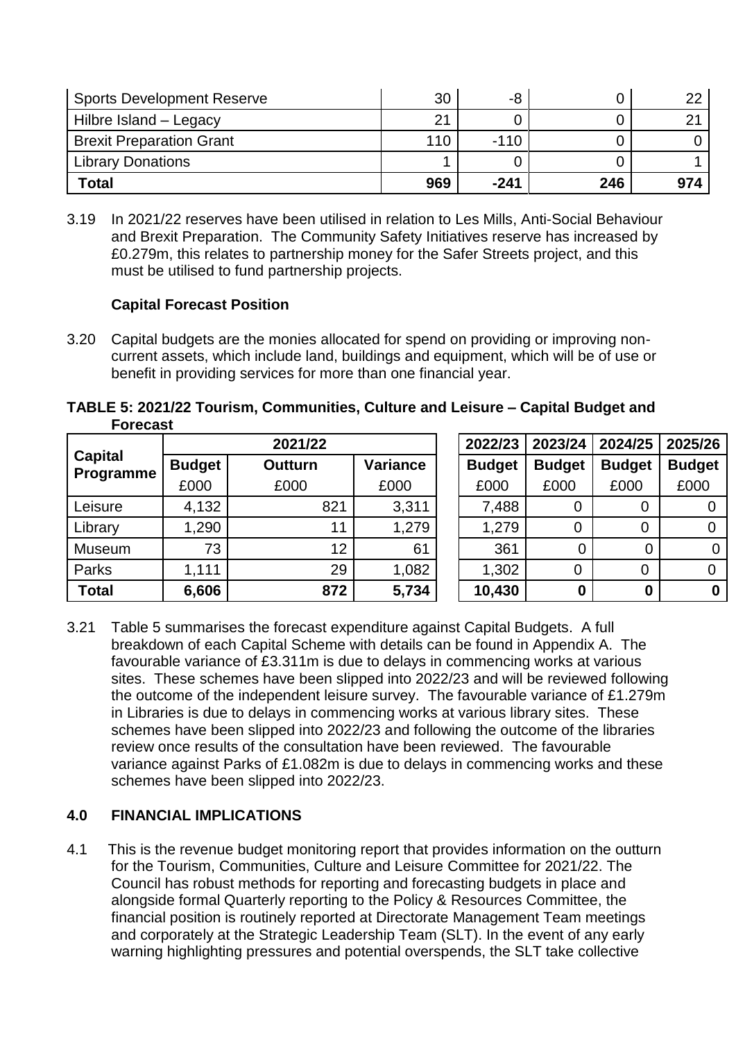| <b>Sports Development Reserve</b> | 30  | -8     |     |     |
|-----------------------------------|-----|--------|-----|-----|
| Hilbre Island - Legacy            | 21  |        |     |     |
| <b>Brexit Preparation Grant</b>   | 110 | $-110$ |     |     |
| <b>Library Donations</b>          |     |        |     |     |
| <b>Total</b>                      | 969 | $-241$ | 246 | 974 |

3.19 In 2021/22 reserves have been utilised in relation to Les Mills, Anti-Social Behaviour and Brexit Preparation. The Community Safety Initiatives reserve has increased by £0.279m, this relates to partnership money for the Safer Streets project, and this must be utilised to fund partnership projects.

#### **Capital Forecast Position**

3.20 Capital budgets are the monies allocated for spend on providing or improving noncurrent assets, which include land, buildings and equipment, which will be of use or benefit in providing services for more than one financial year.

**TABLE 5: 2021/22 Tourism, Communities, Culture and Leisure – Capital Budget and Forecast**

|                             |               | 2021/22        |                 | 2022/23       | 2023/24       | 2024/25       | 2025/26       |
|-----------------------------|---------------|----------------|-----------------|---------------|---------------|---------------|---------------|
| <b>Capital</b><br>Programme | <b>Budget</b> | <b>Outturn</b> | <b>Variance</b> | <b>Budget</b> | <b>Budget</b> | <b>Budget</b> | <b>Budget</b> |
|                             | £000          | £000           | £000            | £000          | £000          | £000          | £000          |
| Leisure                     | 4,132         | 821            | 3,311           | 7,488         | 0             |               |               |
| Library                     | 1,290         | 11             | 1,279           | 1,279         | 0             |               |               |
| Museum                      | 73            | 12             | 61              | 361           | 0             |               |               |
| Parks                       | 1,111         | 29             | 1,082           | 1,302         | 0             | 0             |               |
| <b>Total</b>                | 6,606         | 872            | 5,734           | 10,430        | 0             | 0             |               |

3.21 Table 5 summarises the forecast expenditure against Capital Budgets. A full breakdown of each Capital Scheme with details can be found in Appendix A. The favourable variance of £3.311m is due to delays in commencing works at various sites. These schemes have been slipped into 2022/23 and will be reviewed following the outcome of the independent leisure survey. The favourable variance of £1.279m in Libraries is due to delays in commencing works at various library sites. These schemes have been slipped into 2022/23 and following the outcome of the libraries review once results of the consultation have been reviewed. The favourable variance against Parks of £1.082m is due to delays in commencing works and these schemes have been slipped into 2022/23.

# **4.0 FINANCIAL IMPLICATIONS**

4.1 This is the revenue budget monitoring report that provides information on the outturn for the Tourism, Communities, Culture and Leisure Committee for 2021/22. The Council has robust methods for reporting and forecasting budgets in place and alongside formal Quarterly reporting to the Policy & Resources Committee, the financial position is routinely reported at Directorate Management Team meetings and corporately at the Strategic Leadership Team (SLT). In the event of any early warning highlighting pressures and potential overspends, the SLT take collective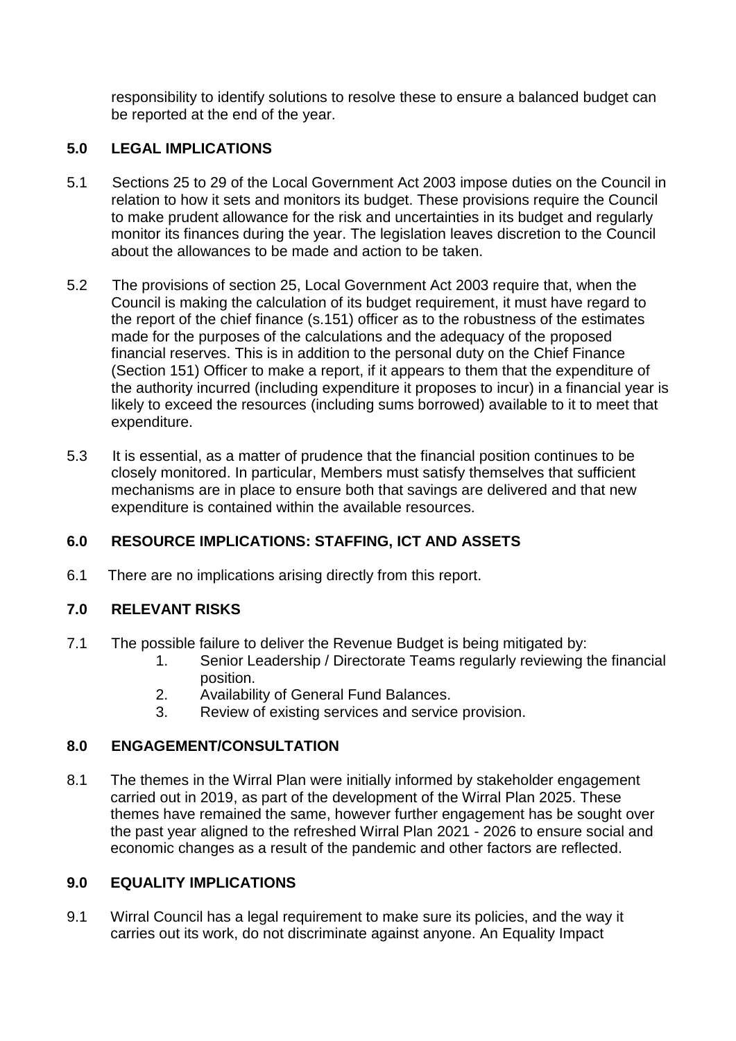responsibility to identify solutions to resolve these to ensure a balanced budget can be reported at the end of the year.

# **5.0 LEGAL IMPLICATIONS**

- 5.1 Sections 25 to 29 of the Local Government Act 2003 impose duties on the Council in relation to how it sets and monitors its budget. These provisions require the Council to make prudent allowance for the risk and uncertainties in its budget and regularly monitor its finances during the year. The legislation leaves discretion to the Council about the allowances to be made and action to be taken.
- 5.2 The provisions of section 25, Local Government Act 2003 require that, when the Council is making the calculation of its budget requirement, it must have regard to the report of the chief finance (s.151) officer as to the robustness of the estimates made for the purposes of the calculations and the adequacy of the proposed financial reserves. This is in addition to the personal duty on the Chief Finance (Section 151) Officer to make a report, if it appears to them that the expenditure of the authority incurred (including expenditure it proposes to incur) in a financial year is likely to exceed the resources (including sums borrowed) available to it to meet that expenditure.
- 5.3 It is essential, as a matter of prudence that the financial position continues to be closely monitored. In particular, Members must satisfy themselves that sufficient mechanisms are in place to ensure both that savings are delivered and that new expenditure is contained within the available resources.

# **6.0 RESOURCE IMPLICATIONS: STAFFING, ICT AND ASSETS**

6.1 There are no implications arising directly from this report.

# **7.0 RELEVANT RISKS**

- 7.1 The possible failure to deliver the Revenue Budget is being mitigated by:
	- 1. Senior Leadership / Directorate Teams regularly reviewing the financial position.
	- 2. Availability of General Fund Balances.
	- 3. Review of existing services and service provision.

# **8.0 ENGAGEMENT/CONSULTATION**

8.1 The themes in the Wirral Plan were initially informed by stakeholder engagement carried out in 2019, as part of the development of the Wirral Plan 2025. These themes have remained the same, however further engagement has be sought over the past year aligned to the refreshed Wirral Plan 2021 - 2026 to ensure social and economic changes as a result of the pandemic and other factors are reflected.

# **9.0 EQUALITY IMPLICATIONS**

9.1 Wirral Council has a legal requirement to make sure its policies, and the way it carries out its work, do not discriminate against anyone. An Equality Impact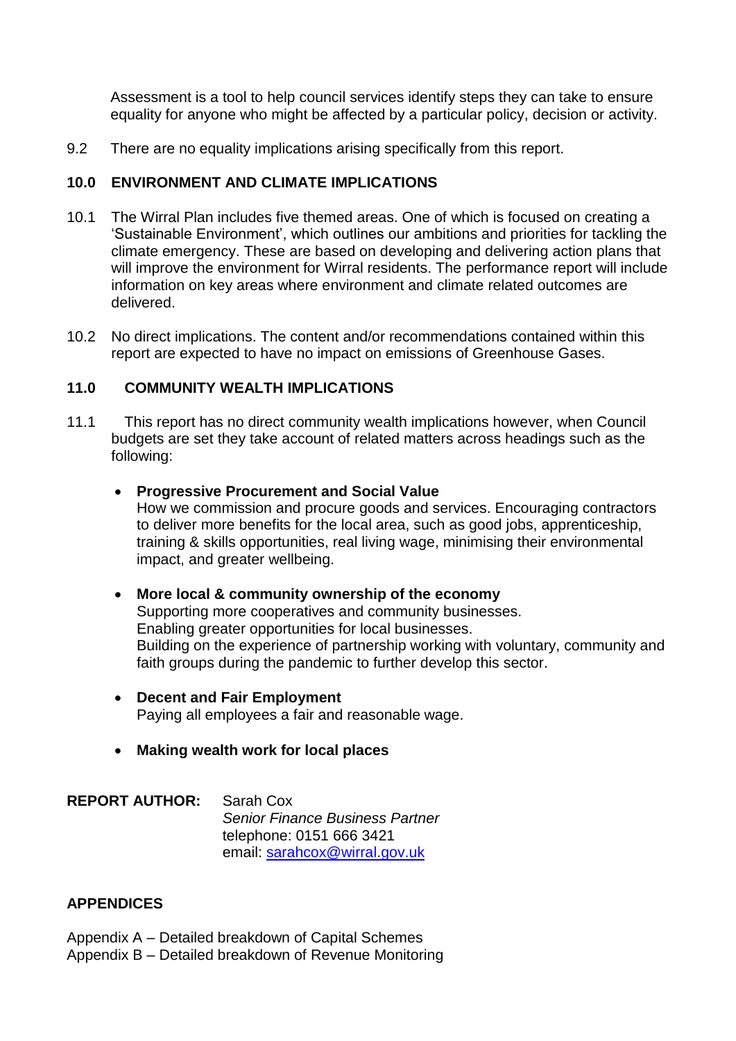Assessment is a tool to help council services identify steps they can take to ensure equality for anyone who might be affected by a particular policy, decision or activity.

9.2 There are no equality implications arising specifically from this report.

#### **10.0 ENVIRONMENT AND CLIMATE IMPLICATIONS**

- 10.1 The Wirral Plan includes five themed areas. One of which is focused on creating a 'Sustainable Environment', which outlines our ambitions and priorities for tackling the climate emergency. These are based on developing and delivering action plans that will improve the environment for Wirral residents. The performance report will include information on key areas where environment and climate related outcomes are delivered.
- 10.2 No direct implications. The content and/or recommendations contained within this report are expected to have no impact on emissions of Greenhouse Gases.

#### **11.0 COMMUNITY WEALTH IMPLICATIONS**

11.1 This report has no direct community wealth implications however, when Council budgets are set they take account of related matters across headings such as the following:

#### **Progressive Procurement and Social Value**

How we commission and procure goods and services. Encouraging contractors to deliver more benefits for the local area, such as good jobs, apprenticeship, training & skills opportunities, real living wage, minimising their environmental impact, and greater wellbeing.

#### **More local & community ownership of the economy**

Supporting more cooperatives and community businesses. Enabling greater opportunities for local businesses. Building on the experience of partnership working with voluntary, community and faith groups during the pandemic to further develop this sector.

- **Decent and Fair Employment**  Paying all employees a fair and reasonable wage.
- **Making wealth work for local places**

**REPORT AUTHOR:** Sarah Cox *Senior Finance Business Partner* telephone: 0151 666 3421 email: [sarahcox@wirral.gov.uk](mailto:sarahcox@wirral.gov.uk)

#### **APPENDICES**

Appendix A – Detailed breakdown of Capital Schemes Appendix B – Detailed breakdown of Revenue Monitoring